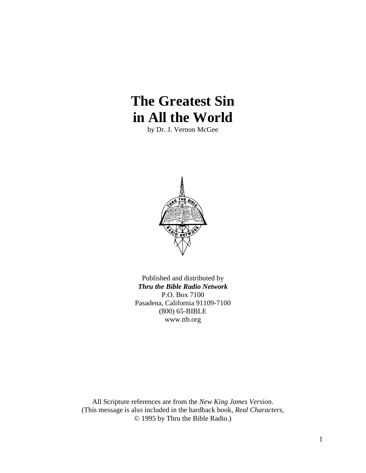# **The Greatest Sin in All the World**

by Dr. J. Vernon McGee



Published and distributed by *Thru the Bible Radio Network* P.O. Box 7100 Pasadena, California 91109-7100 (800) 65-BIBLE www.ttb.org

All Scripture references are from the *New King James Version*. (This message is also included in the hardback book, *Real Characters*, © 1995 by Thru the Bible Radio.)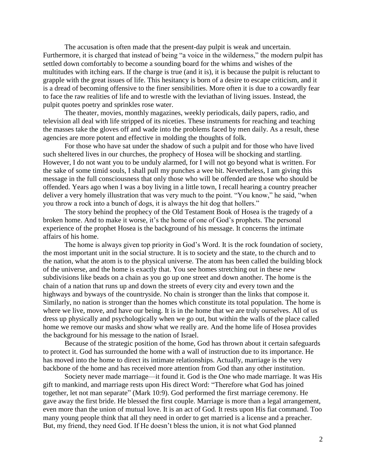The accusation is often made that the present-day pulpit is weak and uncertain. Furthermore, it is charged that instead of being "a voice in the wilderness," the modern pulpit has settled down comfortably to become a sounding board for the whims and wishes of the multitudes with itching ears. If the charge is true (and it is), it is because the pulpit is reluctant to grapple with the great issues of life. This hesitancy is born of a desire to escape criticism, and it is a dread of becoming offensive to the finer sensibilities. More often it is due to a cowardly fear to face the raw realities of life and to wrestle with the leviathan of living issues. Instead, the pulpit quotes poetry and sprinkles rose water.

The theater, movies, monthly magazines, weekly periodicals, daily papers, radio, and television all deal with life stripped of its niceties. These instruments for reaching and teaching the masses take the gloves off and wade into the problems faced by men daily. As a result, these agencies are more potent and effective in molding the thoughts of folk.

For those who have sat under the shadow of such a pulpit and for those who have lived such sheltered lives in our churches, the prophecy of Hosea will be shocking and startling. However, I do not want you to be unduly alarmed, for I will not go beyond what is written. For the sake of some timid souls, I shall pull my punches a wee bit. Nevertheless, I am giving this message in the full consciousness that only those who will be offended are those who should be offended. Years ago when I was a boy living in a little town, I recall hearing a country preacher deliver a very homely illustration that was very much to the point. "You know," he said, "when you throw a rock into a bunch of dogs, it is always the hit dog that hollers."

The story behind the prophecy of the Old Testament Book of Hosea is the tragedy of a broken home. And to make it worse, it's the home of one of God's prophets. The personal experience of the prophet Hosea is the background of his message. It concerns the intimate affairs of his home.

The home is always given top priority in God's Word. It is the rock foundation of society, the most important unit in the social structure. It is to society and the state, to the church and to the nation, what the atom is to the physical universe. The atom has been called the building block of the universe, and the home is exactly that. You see homes stretching out in these new subdivisions like beads on a chain as you go up one street and down another. The home is the chain of a nation that runs up and down the streets of every city and every town and the highways and byways of the countryside. No chain is stronger than the links that compose it. Similarly, no nation is stronger than the homes which constitute its total population. The home is where we live, move, and have our being. It is in the home that we are truly ourselves. All of us dress up physically and psychologically when we go out, but within the walls of the place called home we remove our masks and show what we really are. And the home life of Hosea provides the background for his message to the nation of Israel.

Because of the strategic position of the home, God has thrown about it certain safeguards to protect it. God has surrounded the home with a wall of instruction due to its importance. He has moved into the home to direct its intimate relationships. Actually, marriage is the very backbone of the home and has received more attention from God than any other institution.

Society never made marriage—it found it. God is the One who made marriage. It was His gift to mankind, and marriage rests upon His direct Word: "Therefore what God has joined together, let not man separate" (Mark 10:9). God performed the first marriage ceremony. He gave away the first bride. He blessed the first couple. Marriage is more than a legal arrangement, even more than the union of mutual love. It is an act of God. It rests upon His fiat command. Too many young people think that all they need in order to get married is a license and a preacher. But, my friend, they need God. If He doesn't bless the union, it is not what God planned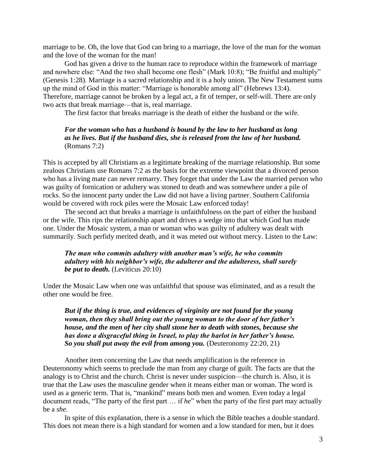marriage to be. Oh, the love that God can bring to a marriage, the love of the man for the woman and the love of the woman for the man!

God has given a drive to the human race to reproduce within the framework of marriage and nowhere else: "And the two shall become one flesh" (Mark 10:8); "Be fruitful and multiply" (Genesis 1:28). Marriage is a sacred relationship and it is a holy union. The New Testament sums up the mind of God in this matter: "Marriage is honorable among all" (Hebrews 13:4). Therefore, marriage cannot be broken by a legal act, a fit of temper, or self-will. There are only two acts that break marriage—that is, real marriage.

The first factor that breaks marriage is the death of either the husband or the wife.

## *For the woman who has a husband is bound by the law to her husband as long as he lives. But if the husband dies, she is released from the law of her husband.* (Romans 7:2)

This is accepted by all Christians as a legitimate breaking of the marriage relationship. But some zealous Christians use Romans 7:2 as the basis for the extreme viewpoint that a divorced person who has a living mate can never remarry. They forget that under the Law the married person who was guilty of fornication or adultery was stoned to death and was somewhere under a pile of rocks. So the innocent party under the Law did not have a living partner. Southern California would be covered with rock piles were the Mosaic Law enforced today!

The second act that breaks a marriage is unfaithfulness on the part of either the husband or the wife. This rips the relationship apart and drives a wedge into that which God has made one. Under the Mosaic system, a man or woman who was guilty of adultery was dealt with summarily. Such perfidy merited death, and it was meted out without mercy. Listen to the Law:

## *The man who commits adultery with another man"s wife, he who commits adultery with his neighbor"s wife, the adulterer and the adulteress, shall surely be put to death.* (Leviticus 20:10)

Under the Mosaic Law when one was unfaithful that spouse was eliminated, and as a result the other one would be free.

*But if the thing is true, and evidences of virginity are not found for the young woman, then they shall bring out the young woman to the door of her father"s house, and the men of her city shall stone her to death with stones, because she has done a disgraceful thing in Israel, to play the harlot in her father"s house. So you shall put away the evil from among you.* (Deuteronomy 22:20, 21)

Another item concerning the Law that needs amplification is the reference in Deuteronomy which seems to preclude the man from any charge of guilt. The facts are that the analogy is to Christ and the church. Christ is never under suspicion—the church is. Also, it is true that the Law uses the masculine gender when it means either man or woman. The word is used as a generic term. That is, "mankind" means both men and women. Even today a legal document reads, "The party of the first part … if *he*" when the party of the first part may actually be a *she*.

In spite of this explanation, there is a sense in which the Bible teaches a double standard. This does not mean there is a high standard for women and a low standard for men, but it does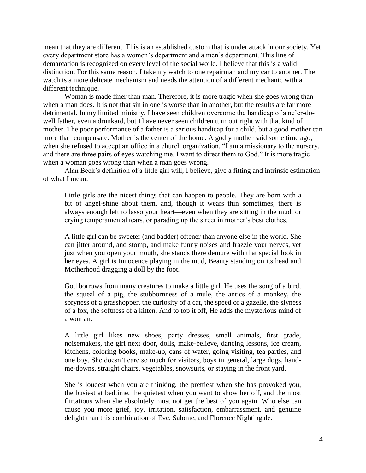mean that they are different. This is an established custom that is under attack in our society. Yet every department store has a women's department and a men's department. This line of demarcation is recognized on every level of the social world. I believe that this is a valid distinction. For this same reason, I take my watch to one repairman and my car to another. The watch is a more delicate mechanism and needs the attention of a different mechanic with a different technique.

Woman is made finer than man. Therefore, it is more tragic when she goes wrong than when a man does. It is not that sin in one is worse than in another, but the results are far more detrimental. In my limited ministry, I have seen children overcome the handicap of a ne'er-dowell father, even a drunkard, but I have never seen children turn out right with that kind of mother. The poor performance of a father is a serious handicap for a child, but a good mother can more than compensate. Mother is the center of the home. A godly mother said some time ago, when she refused to accept an office in a church organization, "I am a missionary to the nursery, and there are three pairs of eyes watching me. I want to direct them to God." It is more tragic when a woman goes wrong than when a man goes wrong.

Alan Beck's definition of a little girl will, I believe, give a fitting and intrinsic estimation of what I mean:

Little girls are the nicest things that can happen to people. They are born with a bit of angel-shine about them, and, though it wears thin sometimes, there is always enough left to lasso your heart—even when they are sitting in the mud, or crying temperamental tears, or parading up the street in mother's best clothes.

A little girl can be sweeter (and badder) oftener than anyone else in the world. She can jitter around, and stomp, and make funny noises and frazzle your nerves, yet just when you open your mouth, she stands there demure with that special look in her eyes. A girl is Innocence playing in the mud, Beauty standing on its head and Motherhood dragging a doll by the foot.

God borrows from many creatures to make a little girl. He uses the song of a bird, the squeal of a pig, the stubbornness of a mule, the antics of a monkey, the spryness of a grasshopper, the curiosity of a cat, the speed of a gazelle, the slyness of a fox, the softness of a kitten. And to top it off, He adds the mysterious mind of a woman.

A little girl likes new shoes, party dresses, small animals, first grade, noisemakers, the girl next door, dolls, make-believe, dancing lessons, ice cream, kitchens, coloring books, make-up, cans of water, going visiting, tea parties, and one boy. She doesn't care so much for visitors, boys in general, large dogs, handme-downs, straight chairs, vegetables, snowsuits, or staying in the front yard.

She is loudest when you are thinking, the prettiest when she has provoked you, the busiest at bedtime, the quietest when you want to show her off, and the most flirtatious when she absolutely must not get the best of you again. Who else can cause you more grief, joy, irritation, satisfaction, embarrassment, and genuine delight than this combination of Eve, Salome, and Florence Nightingale.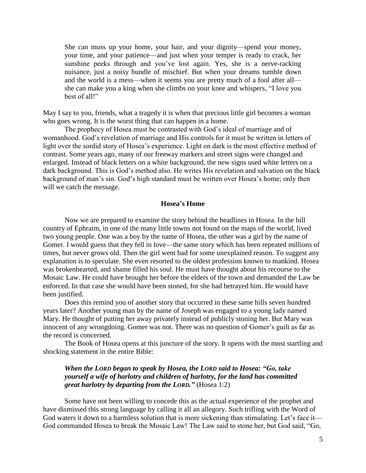She can muss up your home, your hair, and your dignity—spend your money, your time, and your patience—and just when your temper is ready to crack, her sunshine peeks through and you've lost again. Yes, she is a nerve-racking nuisance, just a noisy bundle of mischief. But when your dreams tumble down and the world is a mess—when it seems you are pretty much of a fool after all she can make you a king when she climbs on your knee and whispers, "I love you best of all!"

May I say to you, friends, what a tragedy it is when that precious little girl becomes a woman who goes wrong. It is the worst thing that can happen in a home.

The prophecy of Hosea must be contrasted with God's ideal of marriage and of womanhood. God's revelation of marriage and His controls for it must be written in letters of light over the sordid story of Hosea's experience. Light on dark is the most effective method of contrast. Some years ago, many of our freeway markers and street signs were changed and enlarged. Instead of black letters on a white background, the new signs used white letters on a dark background. This is God's method also. He writes His revelation and salvation on the black background of man's sin. God's high standard must be written over Hosea's home; only then will we catch the message.

#### **Hosea's Home**

Now we are prepared to examine the story behind the headlines in Hosea. In the hill country of Ephraim, in one of the many little towns not found on the maps of the world, lived two young people. One was a boy by the name of Hosea, the other was a girl by the name of Gomer. I would guess that they fell in love—the same story which has been repeated millions of times, but never grows old. Then the girl went bad for some unexplained reason. To suggest any explanation is to speculate. She even resorted to the oldest profession known to mankind. Hosea was brokenhearted, and shame filled his soul. He must have thought about his recourse to the Mosaic Law. He could have brought her before the elders of the town and demanded the Law be enforced. In that case she would have been stoned, for she had betrayed him. He would have been justified.

Does this remind you of another story that occurred in these same hills seven hundred years later? Another young man by the name of Joseph was engaged to a young lady named Mary. He thought of putting her away privately instead of publicly stoning her. But Mary was innocent of any wrongdoing. Gomer was not. There was no question of Gomer's guilt as far as the record is concerned.

The Book of Hosea opens at this juncture of the story. It opens with the most startling and shocking statement in the entire Bible:

## *When the LORD began to speak by Hosea, the LORD said to Hosea: "Go, take yourself a wife of harlotry and children of harlotry, for the land has committed great harlotry by departing from the LORD."* (Hosea 1:2)

Some have not been willing to concede this as the actual experience of the prophet and have dismissed this strong language by calling it all an allegory. Such trifling with the Word of God waters it down to a harmless solution that is more sickening than stimulating. Let's face it— God commanded Hosea to break the Mosaic Law! The Law said to stone her, but God said, "Go,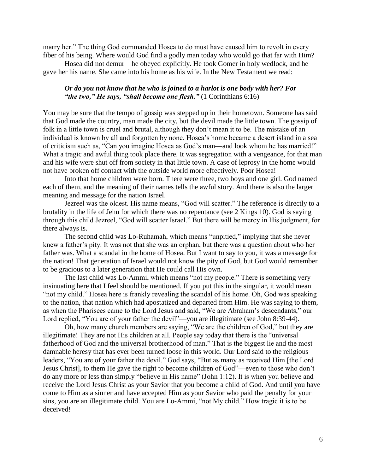marry her." The thing God commanded Hosea to do must have caused him to revolt in every fiber of his being. Where would God find a godly man today who would go that far with Him?

Hosea did not demur—he obeyed explicitly. He took Gomer in holy wedlock, and he gave her his name. She came into his home as his wife. In the New Testament we read:

## *Or do you not know that he who is joined to a harlot is one body with her? For "the two," He says, "shall become one flesh."* (1 Corinthians 6:16)

You may be sure that the tempo of gossip was stepped up in their hometown. Someone has said that God made the country, man made the city, but the devil made the little town. The gossip of folk in a little town is cruel and brutal, although they don't mean it to be. The mistake of an individual is known by all and forgotten by none. Hosea's home became a desert island in a sea of criticism such as, "Can you imagine Hosea as God's man—and look whom he has married!" What a tragic and awful thing took place there. It was segregation with a vengeance, for that man and his wife were shut off from society in that little town. A case of leprosy in the home would not have broken off contact with the outside world more effectively. Poor Hosea!

Into that home children were born. There were three, two boys and one girl. God named each of them, and the meaning of their names tells the awful story. And there is also the larger meaning and message for the nation Israel.

Jezreel was the oldest. His name means, "God will scatter." The reference is directly to a brutality in the life of Jehu for which there was no repentance (see 2 Kings 10). God is saying through this child Jezreel, "God will scatter Israel." But there will be mercy in His judgment, for there always is.

The second child was Lo-Ruhamah, which means "unpitied," implying that she never knew a father's pity. It was not that she was an orphan, but there was a question about who her father was. What a scandal in the home of Hosea. But I want to say to you, it was a message for the nation! That generation of Israel would not know the pity of God, but God would remember to be gracious to a later generation that He could call His own.

The last child was Lo-Ammi, which means "not my people." There is something very insinuating here that I feel should be mentioned. If you put this in the singular, it would mean "not my child." Hosea here is frankly revealing the scandal of his home. Oh, God was speaking to the nation, that nation which had apostatized and departed from Him. He was saying to them, as when the Pharisees came to the Lord Jesus and said, "We are Abraham's descendants," our Lord replied, "You are of your father the devil"—you are illegitimate (see John 8:39-44).

Oh, how many church members are saying, "We are the children of God," but they are illegitimate! They are not His children at all. People say today that there is the "universal fatherhood of God and the universal brotherhood of man." That is the biggest lie and the most damnable heresy that has ever been turned loose in this world. Our Lord said to the religious leaders, "You are of your father the devil." God says, "But as many as received Him [the Lord Jesus Christ], to them He gave the right to become children of God"—even to those who don't do any more or less than simply "believe in His name" (John 1:12). It is when you believe and receive the Lord Jesus Christ as your Savior that you become a child of God. And until you have come to Him as a sinner and have accepted Him as your Savior who paid the penalty for your sins, you are an illegitimate child. You are Lo-Ammi, "not My child." How tragic it is to be deceived!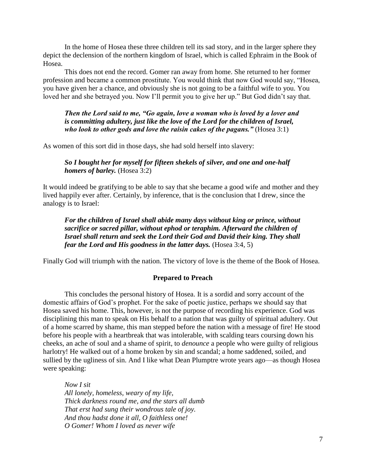In the home of Hosea these three children tell its sad story, and in the larger sphere they depict the declension of the northern kingdom of Israel, which is called Ephraim in the Book of Hosea.

This does not end the record. Gomer ran away from home. She returned to her former profession and became a common prostitute. You would think that now God would say, "Hosea, you have given her a chance, and obviously she is not going to be a faithful wife to you. You loved her and she betrayed you. Now I'll permit you to give her up." But God didn't say that.

## *Then the Lord said to me, "Go again, love a woman who is loved by a lover and is committing adultery, just like the love of the Lord for the children of Israel, who look to other gods and love the raisin cakes of the pagans."* (Hosea 3:1)

As women of this sort did in those days, she had sold herself into slavery:

## *So I bought her for myself for fifteen shekels of silver, and one and one-half homers of barley.* (Hosea 3:2)

It would indeed be gratifying to be able to say that she became a good wife and mother and they lived happily ever after. Certainly, by inference, that is the conclusion that I drew, since the analogy is to Israel:

*For the children of Israel shall abide many days without king or prince, without sacrifice or sacred pillar, without ephod or teraphim. Afterward the children of Israel shall return and seek the Lord their God and David their king. They shall fear the Lord and His goodness in the latter days.* (Hosea 3:4, 5)

Finally God will triumph with the nation. The victory of love is the theme of the Book of Hosea.

#### **Prepared to Preach**

This concludes the personal history of Hosea. It is a sordid and sorry account of the domestic affairs of God's prophet. For the sake of poetic justice, perhaps we should say that Hosea saved his home. This, however, is not the purpose of recording his experience. God was disciplining this man to speak on His behalf to a nation that was guilty of spiritual adultery. Out of a home scarred by shame, this man stepped before the nation with a message of fire! He stood before his people with a heartbreak that was intolerable, with scalding tears coursing down his cheeks, an ache of soul and a shame of spirit, to *denounce* a people who were guilty of religious harlotry! He walked out of a home broken by sin and scandal; a home saddened, soiled, and sullied by the ugliness of sin. And I like what Dean Plumptre wrote years ago—as though Hosea were speaking:

*Now I sit All lonely, homeless, weary of my life, Thick darkness round me, and the stars all dumb That erst had sung their wondrous tale of joy. And thou hadst done it all, O faithless one! O Gomer! Whom I loved as never wife*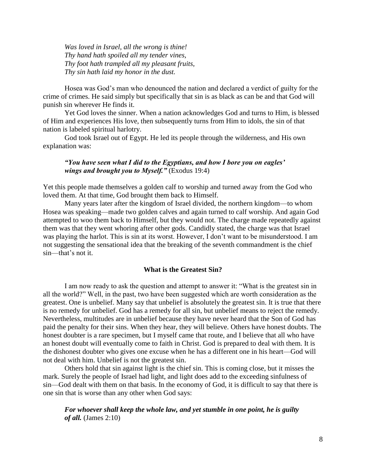*Was loved in Israel, all the wrong is thine! Thy hand hath spoiled all my tender vines, Thy foot hath trampled all my pleasant fruits, Thy sin hath laid my honor in the dust.*

Hosea was God's man who denounced the nation and declared a verdict of guilty for the crime of crimes. He said simply but specifically that sin is as black as can be and that God will punish sin wherever He finds it.

Yet God loves the sinner. When a nation acknowledges God and turns to Him, is blessed of Him and experiences His love, then subsequently turns from Him to idols, the sin of that nation is labeled spiritual harlotry.

God took Israel out of Egypt. He led its people through the wilderness, and His own explanation was:

### *"You have seen what I did to the Egyptians, and how I bore you on eagles" wings and brought you to Myself."* (Exodus 19:4)

Yet this people made themselves a golden calf to worship and turned away from the God who loved them. At that time, God brought them back to Himself.

Many years later after the kingdom of Israel divided, the northern kingdom—to whom Hosea was speaking—made two golden calves and again turned to calf worship. And again God attempted to woo them back to Himself, but they would not. The charge made repeatedly against them was that they went whoring after other gods. Candidly stated, the charge was that Israel was playing the harlot. This is sin at its worst. However, I don't want to be misunderstood. I am not suggesting the sensational idea that the breaking of the seventh commandment is the chief sin—that's not it.

#### **What is the Greatest Sin?**

I am now ready to ask the question and attempt to answer it: "What is the greatest sin in all the world?" Well, in the past, two have been suggested which are worth consideration as the greatest. One is unbelief. Many say that unbelief is absolutely the greatest sin. It is true that there is no remedy for unbelief. God has a remedy for all sin, but unbelief means to reject the remedy. Nevertheless, multitudes are in unbelief because they have never heard that the Son of God has paid the penalty for their sins. When they hear, they will believe. Others have honest doubts. The honest doubter is a rare specimen, but I myself came that route, and I believe that all who have an honest doubt will eventually come to faith in Christ. God is prepared to deal with them. It is the dishonest doubter who gives one excuse when he has a different one in his heart—God will not deal with him. Unbelief is not the greatest sin.

Others hold that sin against light is the chief sin. This is coming close, but it misses the mark. Surely the people of Israel had light, and light does add to the exceeding sinfulness of sin—God dealt with them on that basis. In the economy of God, it is difficult to say that there is one sin that is worse than any other when God says:

*For whoever shall keep the whole law, and yet stumble in one point, he is guilty of all.* (James 2:10)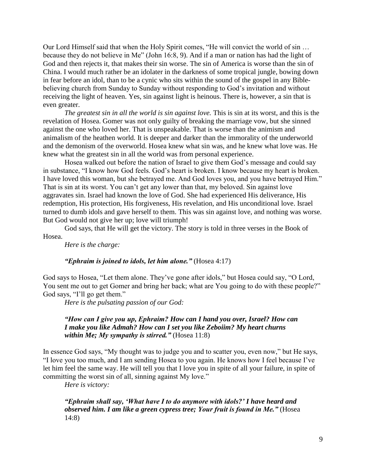Our Lord Himself said that when the Holy Spirit comes, "He will convict the world of sin … because they do not believe in Me" (John 16:8, 9). And if a man or nation has had the light of God and then rejects it, that makes their sin worse. The sin of America is worse than the sin of China. I would much rather be an idolater in the darkness of some tropical jungle, bowing down in fear before an idol, than to be a cynic who sits within the sound of the gospel in any Biblebelieving church from Sunday to Sunday without responding to God's invitation and without receiving the light of heaven. Yes, sin against light is heinous. There is, however, a sin that is even greater.

*The greatest sin in all the world is sin against love.* This is sin at its worst, and this is the revelation of Hosea. Gomer was not only guilty of breaking the marriage vow, but she sinned against the one who loved her. That is unspeakable. That is worse than the animism and animalism of the heathen world. It is deeper and darker than the immorality of the underworld and the demonism of the overworld. Hosea knew what sin was, and he knew what love was. He knew what the greatest sin in all the world was from personal experience.

Hosea walked out before the nation of Israel to give them God's message and could say in substance, "I know how God feels. God's heart is broken. I know because my heart is broken. I have loved this woman, but she betrayed me. And God loves you, and you have betrayed Him." That is sin at its worst. You can't get any lower than that, my beloved. Sin against love aggravates sin. Israel had known the love of God. She had experienced His deliverance, His redemption, His protection, His forgiveness, His revelation, and His unconditional love. Israel turned to dumb idols and gave herself to them. This was sin against love, and nothing was worse. But God would not give her up; love will triumph!

God says, that He will get the victory. The story is told in three verses in the Book of Hosea.

*Here is the charge:*

### *"Ephraim is joined to idols, let him alone."* (Hosea 4:17)

God says to Hosea, "Let them alone. They've gone after idols," but Hosea could say, "O Lord, You sent me out to get Gomer and bring her back; what are You going to do with these people?" God says, "I'll go get them."

*Here is the pulsating passion of our God:*

## *"How can I give you up, Ephraim? How can I hand you over, Israel? How can I make you like Admah? How can I set you like Zeboiim? My heart churns within Me; My sympathy is stirred."* (Hosea 11:8)

In essence God says, "My thought was to judge you and to scatter you, even now," but He says, "I love you too much, and I am sending Hosea to you again. He knows how I feel because I've let him feel the same way. He will tell you that I love you in spite of all your failure, in spite of committing the worst sin of all, sinning against My love."

*Here is victory:*

## *"Ephraim shall say, "What have I to do anymore with idols?" I have heard and observed him. I am like a green cypress tree; Your fruit is found in Me."* (Hosea 14:8)